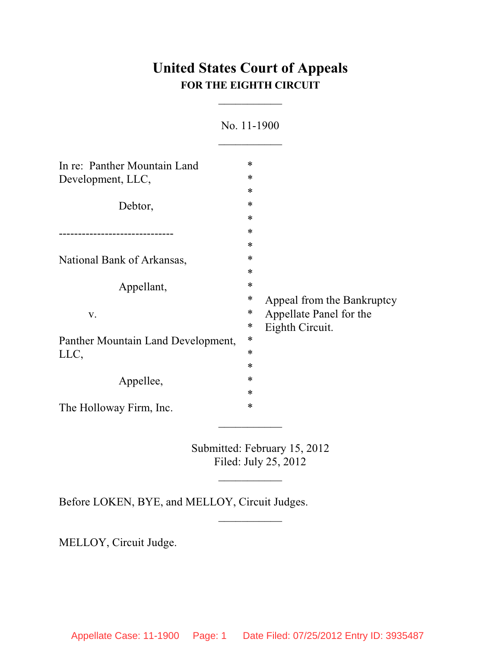# **United States Court of Appeals FOR THE EIGHTH CIRCUIT**

 $\overline{\phantom{a}}$ 

| NO. 11-1900                                                |        |                              |
|------------------------------------------------------------|--------|------------------------------|
|                                                            |        |                              |
| In re: Panther Mountain Land                               | *      |                              |
| Development, LLC,<br>Debtor,<br>National Bank of Arkansas, | ∗      | ∗<br>∗                       |
|                                                            |        |                              |
|                                                            |        |                              |
|                                                            | ∗      |                              |
|                                                            | ∗      |                              |
|                                                            | ∗      |                              |
|                                                            | ∗      |                              |
|                                                            | ∗      |                              |
| Appellant,<br>V.                                           | ∗      |                              |
|                                                            | $\ast$ | Appeal from the Bankruptcy   |
|                                                            | ∗      | Appellate Panel for the      |
|                                                            | ∗      | Eighth Circuit.              |
| Panther Mountain Land Development,<br>LLC,                 | $\ast$ |                              |
|                                                            | ∗      |                              |
|                                                            | ∗      |                              |
| Appellee,                                                  | ∗      |                              |
|                                                            | ∗      |                              |
| The Holloway Firm, Inc.                                    | *      |                              |
|                                                            |        | Submitted: February 15, 2012 |
|                                                            |        | Filed: July 25, 2012         |

No. 11-1900

Before LOKEN, BYE, and MELLOY, Circuit Judges.

MELLOY, Circuit Judge.

 $\frac{1}{2}$ 

 $\overline{\phantom{a}}$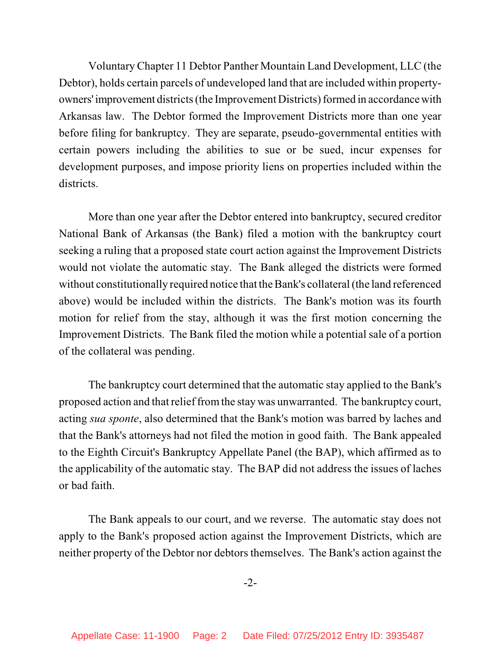Voluntary Chapter 11 Debtor Panther Mountain Land Development, LLC (the Debtor), holds certain parcels of undeveloped land that are included within propertyowners' improvement districts (the Improvement Districts) formed in accordance with Arkansas law. The Debtor formed the Improvement Districts more than one year before filing for bankruptcy. They are separate, pseudo-governmental entities with certain powers including the abilities to sue or be sued, incur expenses for development purposes, and impose priority liens on properties included within the districts.

More than one year after the Debtor entered into bankruptcy, secured creditor National Bank of Arkansas (the Bank) filed a motion with the bankruptcy court seeking a ruling that a proposed state court action against the Improvement Districts would not violate the automatic stay. The Bank alleged the districts were formed without constitutionally required notice that the Bank's collateral(the land referenced above) would be included within the districts. The Bank's motion was its fourth motion for relief from the stay, although it was the first motion concerning the Improvement Districts. The Bank filed the motion while a potential sale of a portion of the collateral was pending.

The bankruptcy court determined that the automatic stay applied to the Bank's proposed action and thatrelief fromthe stay was unwarranted. The bankruptcy court, acting *sua sponte*, also determined that the Bank's motion was barred by laches and that the Bank's attorneys had not filed the motion in good faith. The Bank appealed to the Eighth Circuit's Bankruptcy Appellate Panel (the BAP), which affirmed as to the applicability of the automatic stay. The BAP did not address the issues of laches or bad faith.

The Bank appeals to our court, and we reverse. The automatic stay does not apply to the Bank's proposed action against the Improvement Districts, which are neither property of the Debtor nor debtors themselves. The Bank's action against the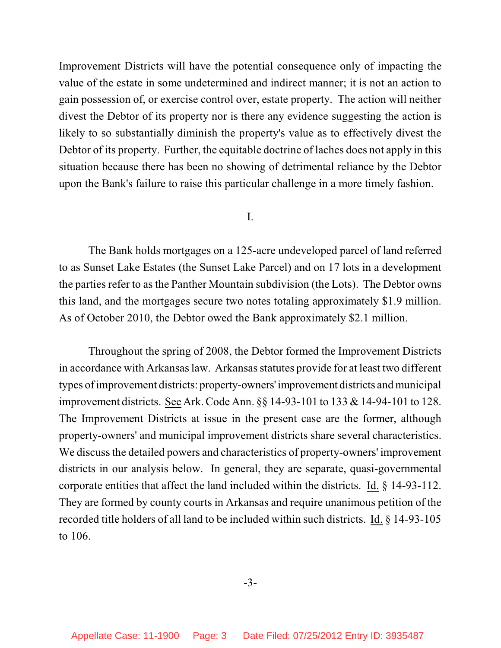Improvement Districts will have the potential consequence only of impacting the value of the estate in some undetermined and indirect manner; it is not an action to gain possession of, or exercise control over, estate property. The action will neither divest the Debtor of its property nor is there any evidence suggesting the action is likely to so substantially diminish the property's value as to effectively divest the Debtor of its property. Further, the equitable doctrine of laches does not apply in this situation because there has been no showing of detrimental reliance by the Debtor upon the Bank's failure to raise this particular challenge in a more timely fashion.

#### I.

The Bank holds mortgages on a 125-acre undeveloped parcel of land referred to as Sunset Lake Estates (the Sunset Lake Parcel) and on 17 lots in a development the parties refer to as the Panther Mountain subdivision (the Lots). The Debtor owns this land, and the mortgages secure two notes totaling approximately \$1.9 million. As of October 2010, the Debtor owed the Bank approximately \$2.1 million.

Throughout the spring of 2008, the Debtor formed the Improvement Districts in accordance with Arkansas law. Arkansas statutes provide for at least two different types ofimprovement districts: property-owners'improvement districts and municipal improvement districts. See Ark. Code Ann. §§ 14-93-101 to 133 & 14-94-101 to 128. The Improvement Districts at issue in the present case are the former, although property-owners' and municipal improvement districts share several characteristics. We discuss the detailed powers and characteristics of property-owners' improvement districts in our analysis below. In general, they are separate, quasi-governmental corporate entities that affect the land included within the districts. Id. § 14-93-112. They are formed by county courts in Arkansas and require unanimous petition of the recorded title holders of all land to be included within such districts. Id. § 14-93-105 to 106.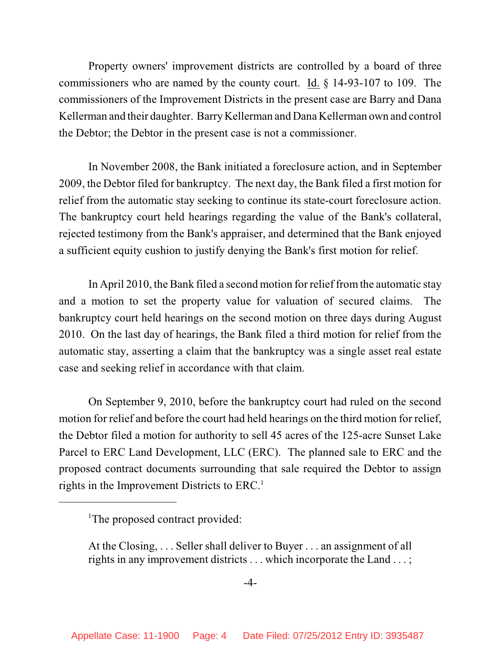Property owners' improvement districts are controlled by a board of three commissioners who are named by the county court. Id. § 14-93-107 to 109. The commissioners of the Improvement Districts in the present case are Barry and Dana Kellerman and their daughter. Barry Kellerman and Dana Kellerman own and control the Debtor; the Debtor in the present case is not a commissioner.

In November 2008, the Bank initiated a foreclosure action, and in September 2009, the Debtor filed for bankruptcy. The next day, the Bank filed a first motion for relief from the automatic stay seeking to continue its state-court foreclosure action. The bankruptcy court held hearings regarding the value of the Bank's collateral, rejected testimony from the Bank's appraiser, and determined that the Bank enjoyed a sufficient equity cushion to justify denying the Bank's first motion for relief.

In April 2010, the Bank filed a second motion for relief fromthe automatic stay and a motion to set the property value for valuation of secured claims. The bankruptcy court held hearings on the second motion on three days during August 2010. On the last day of hearings, the Bank filed a third motion for relief from the automatic stay, asserting a claim that the bankruptcy was a single asset real estate case and seeking relief in accordance with that claim.

On September 9, 2010, before the bankruptcy court had ruled on the second motion for relief and before the court had held hearings on the third motion for relief, the Debtor filed a motion for authority to sell 45 acres of the 125-acre Sunset Lake Parcel to ERC Land Development, LLC (ERC). The planned sale to ERC and the proposed contract documents surrounding that sale required the Debtor to assign rights in the Improvement Districts to ERC.<sup>1</sup>

<sup>&</sup>lt;sup>1</sup>The proposed contract provided:

At the Closing, . . . Seller shall deliver to Buyer . . . an assignment of all rights in any improvement districts . . . which incorporate the Land . . . ;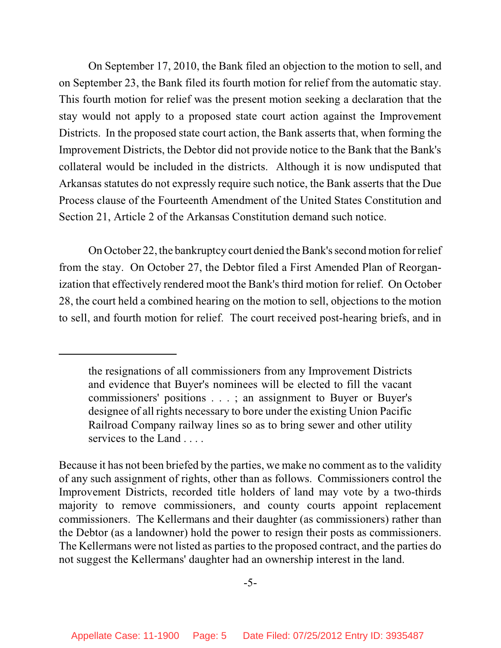On September 17, 2010, the Bank filed an objection to the motion to sell, and on September 23, the Bank filed its fourth motion for relief from the automatic stay. This fourth motion for relief was the present motion seeking a declaration that the stay would not apply to a proposed state court action against the Improvement Districts. In the proposed state court action, the Bank asserts that, when forming the Improvement Districts, the Debtor did not provide notice to the Bank that the Bank's collateral would be included in the districts. Although it is now undisputed that Arkansas statutes do not expressly require such notice, the Bank asserts that the Due Process clause of the Fourteenth Amendment of the United States Constitution and Section 21, Article 2 of the Arkansas Constitution demand such notice.

On October 22, the bankruptcy court denied the Bank's second motion for relief from the stay. On October 27, the Debtor filed a First Amended Plan of Reorganization that effectively rendered moot the Bank's third motion for relief. On October 28, the court held a combined hearing on the motion to sell, objections to the motion to sell, and fourth motion for relief. The court received post-hearing briefs, and in

the resignations of all commissioners from any Improvement Districts and evidence that Buyer's nominees will be elected to fill the vacant commissioners' positions . . . ; an assignment to Buyer or Buyer's designee of all rights necessary to bore under the existing Union Pacific Railroad Company railway lines so as to bring sewer and other utility services to the Land . . . .

Because it has not been briefed by the parties, we make no comment as to the validity of any such assignment of rights, other than as follows. Commissioners control the Improvement Districts, recorded title holders of land may vote by a two-thirds majority to remove commissioners, and county courts appoint replacement commissioners. The Kellermans and their daughter (as commissioners) rather than the Debtor (as a landowner) hold the power to resign their posts as commissioners. The Kellermans were not listed as parties to the proposed contract, and the parties do not suggest the Kellermans' daughter had an ownership interest in the land.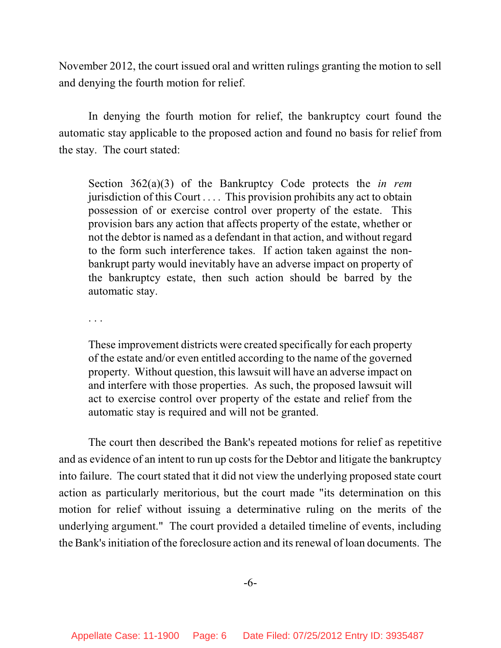November 2012, the court issued oral and written rulings granting the motion to sell and denying the fourth motion for relief.

In denying the fourth motion for relief, the bankruptcy court found the automatic stay applicable to the proposed action and found no basis for relief from the stay. The court stated:

Section 362(a)(3) of the Bankruptcy Code protects the *in rem* jurisdiction of this Court . . . . This provision prohibits any act to obtain possession of or exercise control over property of the estate. This provision bars any action that affects property of the estate, whether or not the debtor is named as a defendant in that action, and without regard to the form such interference takes. If action taken against the nonbankrupt party would inevitably have an adverse impact on property of the bankruptcy estate, then such action should be barred by the automatic stay.

. . .

These improvement districts were created specifically for each property of the estate and/or even entitled according to the name of the governed property. Without question, this lawsuit will have an adverse impact on and interfere with those properties. As such, the proposed lawsuit will act to exercise control over property of the estate and relief from the automatic stay is required and will not be granted.

The court then described the Bank's repeated motions for relief as repetitive and as evidence of an intent to run up costs for the Debtor and litigate the bankruptcy into failure. The court stated that it did not view the underlying proposed state court action as particularly meritorious, but the court made "its determination on this motion for relief without issuing a determinative ruling on the merits of the underlying argument." The court provided a detailed timeline of events, including the Bank's initiation of the foreclosure action and its renewal of loan documents. The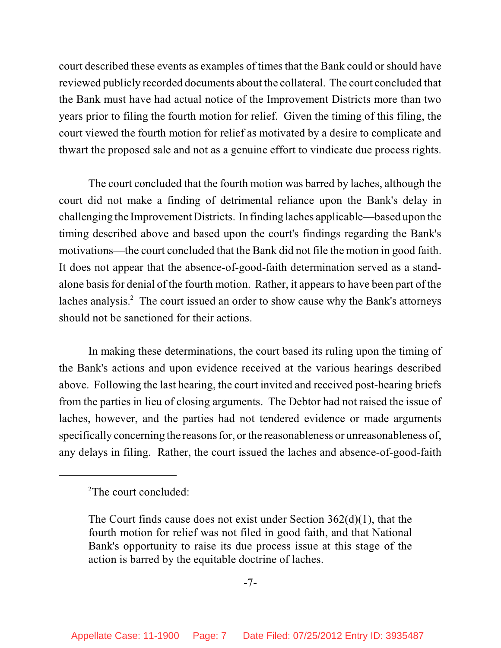court described these events as examples of times that the Bank could or should have reviewed publicly recorded documents about the collateral. The court concluded that the Bank must have had actual notice of the Improvement Districts more than two years prior to filing the fourth motion for relief. Given the timing of this filing, the court viewed the fourth motion for relief as motivated by a desire to complicate and thwart the proposed sale and not as a genuine effort to vindicate due process rights.

The court concluded that the fourth motion was barred by laches, although the court did not make a finding of detrimental reliance upon the Bank's delay in challenging the Improvement Districts. In finding laches applicable—based upon the timing described above and based upon the court's findings regarding the Bank's motivations—the court concluded that the Bank did not file the motion in good faith. It does not appear that the absence-of-good-faith determination served as a standalone basis for denial of the fourth motion. Rather, it appears to have been part of the laches analysis.<sup>2</sup> The court issued an order to show cause why the Bank's attorneys should not be sanctioned for their actions.

In making these determinations, the court based its ruling upon the timing of the Bank's actions and upon evidence received at the various hearings described above. Following the last hearing, the court invited and received post-hearing briefs from the parties in lieu of closing arguments. The Debtor had not raised the issue of laches, however, and the parties had not tendered evidence or made arguments specifically concerning the reasons for, or the reasonableness or unreasonableness of, any delays in filing. Rather, the court issued the laches and absence-of-good-faith

 $2$ The court concluded:

The Court finds cause does not exist under Section 362(d)(1), that the fourth motion for relief was not filed in good faith, and that National Bank's opportunity to raise its due process issue at this stage of the action is barred by the equitable doctrine of laches.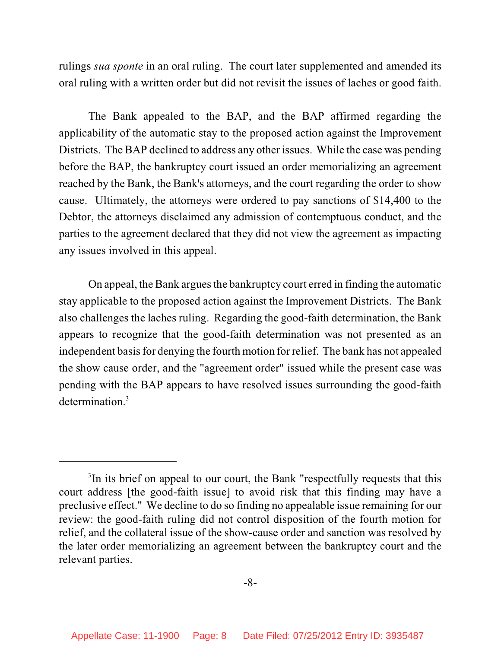rulings *sua sponte* in an oral ruling. The court later supplemented and amended its oral ruling with a written order but did not revisit the issues of laches or good faith.

The Bank appealed to the BAP, and the BAP affirmed regarding the applicability of the automatic stay to the proposed action against the Improvement Districts. The BAP declined to address any other issues. While the case was pending before the BAP, the bankruptcy court issued an order memorializing an agreement reached by the Bank, the Bank's attorneys, and the court regarding the order to show cause. Ultimately, the attorneys were ordered to pay sanctions of \$14,400 to the Debtor, the attorneys disclaimed any admission of contemptuous conduct, and the parties to the agreement declared that they did not view the agreement as impacting any issues involved in this appeal.

On appeal, the Bank argues the bankruptcy court erred in finding the automatic stay applicable to the proposed action against the Improvement Districts. The Bank also challenges the laches ruling. Regarding the good-faith determination, the Bank appears to recognize that the good-faith determination was not presented as an independent basis for denying the fourth motion for relief. The bank has not appealed the show cause order, and the "agreement order" issued while the present case was pending with the BAP appears to have resolved issues surrounding the good-faith determination.<sup>3</sup>

<sup>&</sup>lt;sup>3</sup>In its brief on appeal to our court, the Bank "respectfully requests that this court address [the good-faith issue] to avoid risk that this finding may have a preclusive effect." We decline to do so finding no appealable issue remaining for our review: the good-faith ruling did not control disposition of the fourth motion for relief, and the collateral issue of the show-cause order and sanction was resolved by the later order memorializing an agreement between the bankruptcy court and the relevant parties.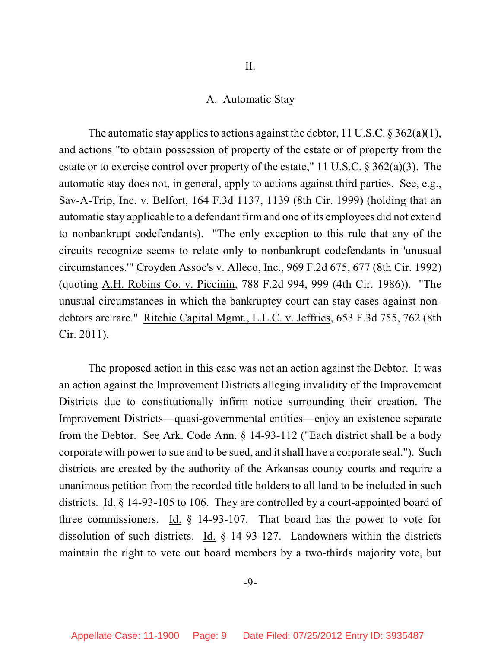## A. Automatic Stay

The automatic stay applies to actions against the debtor, 11 U.S.C.  $\S 362(a)(1)$ , and actions "to obtain possession of property of the estate or of property from the estate or to exercise control over property of the estate," 11 U.S.C. § 362(a)(3). The automatic stay does not, in general, apply to actions against third parties. See, e.g., Sav-A-Trip, Inc. v. Belfort, 164 F.3d 1137, 1139 (8th Cir. 1999) (holding that an automatic stay applicable to a defendant firmand one of its employees did not extend to nonbankrupt codefendants). "The only exception to this rule that any of the circuits recognize seems to relate only to nonbankrupt codefendants in 'unusual circumstances.'" Croyden Assoc's v. Alleco, Inc., 969 F.2d 675, 677 (8th Cir. 1992) (quoting A.H. Robins Co. v. Piccinin, 788 F.2d 994, 999 (4th Cir. 1986)). "The unusual circumstances in which the bankruptcy court can stay cases against nondebtors are rare." Ritchie Capital Mgmt., L.L.C. v. Jeffries, 653 F.3d 755, 762 (8th Cir. 2011).

The proposed action in this case was not an action against the Debtor. It was an action against the Improvement Districts alleging invalidity of the Improvement Districts due to constitutionally infirm notice surrounding their creation. The Improvement Districts—quasi-governmental entities—enjoy an existence separate from the Debtor. See Ark. Code Ann. § 14-93-112 ("Each district shall be a body corporate with power to sue and to be sued, and it shall have a corporate seal."). Such districts are created by the authority of the Arkansas county courts and require a unanimous petition from the recorded title holders to all land to be included in such districts. Id. § 14-93-105 to 106. They are controlled by a court-appointed board of three commissioners. Id. § 14-93-107. That board has the power to vote for dissolution of such districts. Id. § 14-93-127. Landowners within the districts maintain the right to vote out board members by a two-thirds majority vote, but

-9-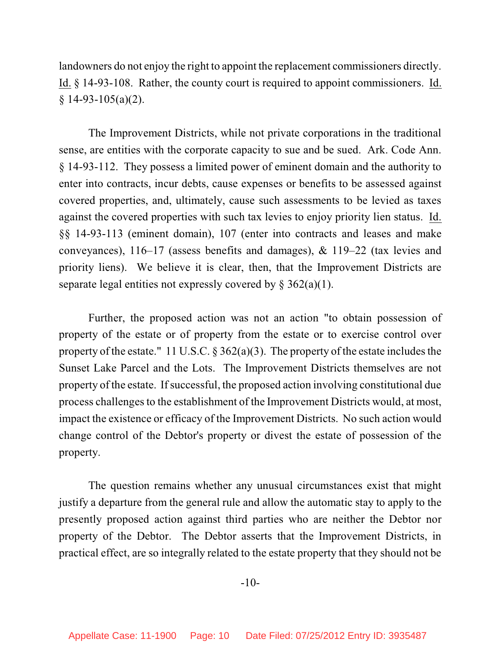landowners do not enjoy the right to appoint the replacement commissioners directly. Id. § 14-93-108. Rather, the county court is required to appoint commissioners. Id.  $§$  14-93-105(a)(2).

The Improvement Districts, while not private corporations in the traditional sense, are entities with the corporate capacity to sue and be sued. Ark. Code Ann. § 14-93-112. They possess a limited power of eminent domain and the authority to enter into contracts, incur debts, cause expenses or benefits to be assessed against covered properties, and, ultimately, cause such assessments to be levied as taxes against the covered properties with such tax levies to enjoy priority lien status. Id. §§ 14-93-113 (eminent domain), 107 (enter into contracts and leases and make conveyances), 116–17 (assess benefits and damages), & 119–22 (tax levies and priority liens). We believe it is clear, then, that the Improvement Districts are separate legal entities not expressly covered by  $\S 362(a)(1)$ .

Further, the proposed action was not an action "to obtain possession of property of the estate or of property from the estate or to exercise control over property of the estate." 11 U.S.C.  $\S 362(a)(3)$ . The property of the estate includes the Sunset Lake Parcel and the Lots. The Improvement Districts themselves are not property of the estate. If successful, the proposed action involving constitutional due process challenges to the establishment of the Improvement Districts would, at most, impact the existence or efficacy of the Improvement Districts. No such action would change control of the Debtor's property or divest the estate of possession of the property.

The question remains whether any unusual circumstances exist that might justify a departure from the general rule and allow the automatic stay to apply to the presently proposed action against third parties who are neither the Debtor nor property of the Debtor. The Debtor asserts that the Improvement Districts, in practical effect, are so integrally related to the estate property that they should not be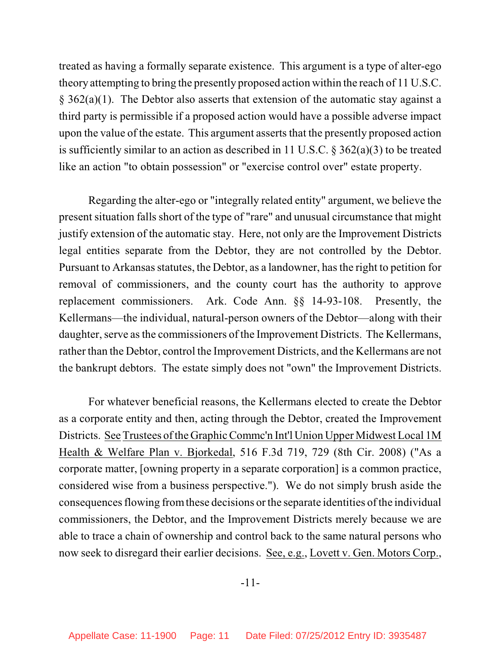treated as having a formally separate existence. This argument is a type of alter-ego theory attempting to bring the presently proposed action within the reach of 11 U.S.C. § 362(a)(1). The Debtor also asserts that extension of the automatic stay against a third party is permissible if a proposed action would have a possible adverse impact upon the value of the estate. This argument asserts that the presently proposed action is sufficiently similar to an action as described in 11 U.S.C. § 362(a)(3) to be treated like an action "to obtain possession" or "exercise control over" estate property.

Regarding the alter-ego or "integrally related entity" argument, we believe the present situation falls short of the type of "rare" and unusual circumstance that might justify extension of the automatic stay. Here, not only are the Improvement Districts legal entities separate from the Debtor, they are not controlled by the Debtor. Pursuant to Arkansas statutes, the Debtor, as a landowner, has the right to petition for removal of commissioners, and the county court has the authority to approve replacement commissioners. Ark. Code Ann. §§ 14-93-108. Presently, the Kellermans—the individual, natural-person owners of the Debtor—along with their daughter, serve as the commissioners of the Improvement Districts. The Kellermans, rather than the Debtor, control the Improvement Districts, and the Kellermans are not the bankrupt debtors. The estate simply does not "own" the Improvement Districts.

For whatever beneficial reasons, the Kellermans elected to create the Debtor as a corporate entity and then, acting through the Debtor, created the Improvement Districts. See Trustees of the Graphic Commc'n Int'l Union Upper Midwest Local 1M Health & Welfare Plan v. Bjorkedal, 516 F.3d 719, 729 (8th Cir. 2008) ("As a corporate matter, [owning property in a separate corporation] is a common practice, considered wise from a business perspective."). We do not simply brush aside the consequences flowing from these decisions or the separate identities of the individual commissioners, the Debtor, and the Improvement Districts merely because we are able to trace a chain of ownership and control back to the same natural persons who now seek to disregard their earlier decisions. See, e.g., Lovett v. Gen. Motors Corp.,

-11-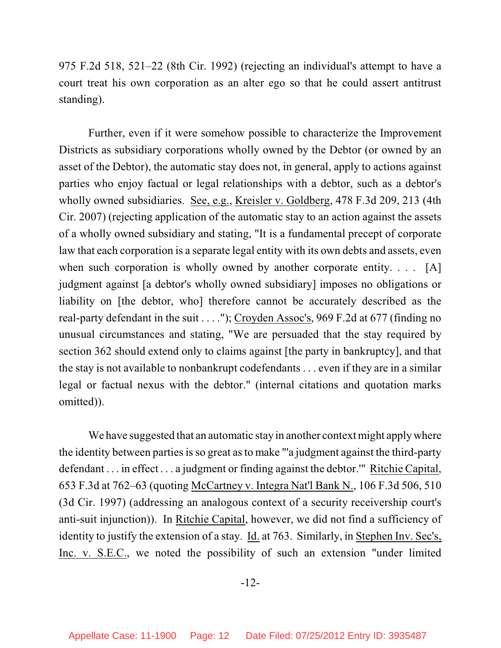975 F.2d 518, 521–22 (8th Cir. 1992) (rejecting an individual's attempt to have a court treat his own corporation as an alter ego so that he could assert antitrust standing).

Further, even if it were somehow possible to characterize the Improvement Districts as subsidiary corporations wholly owned by the Debtor (or owned by an asset of the Debtor), the automatic stay does not, in general, apply to actions against parties who enjoy factual or legal relationships with a debtor, such as a debtor's wholly owned subsidiaries. See, e.g., Kreisler v. Goldberg, 478 F.3d 209, 213 (4th Cir. 2007) (rejecting application of the automatic stay to an action against the assets of a wholly owned subsidiary and stating, "It is a fundamental precept of corporate law that each corporation is a separate legal entity with its own debts and assets, even when such corporation is wholly owned by another corporate entity. . . . [A] judgment against [a debtor's wholly owned subsidiary] imposes no obligations or liability on [the debtor, who] therefore cannot be accurately described as the real-party defendant in the suit . . . ."); Croyden Assoc's, 969 F.2d at 677 (finding no unusual circumstances and stating, "We are persuaded that the stay required by section 362 should extend only to claims against [the party in bankruptcy], and that the stay is not available to nonbankrupt codefendants . . . even if they are in a similar legal or factual nexus with the debtor." (internal citations and quotation marks omitted)).

We have suggested that an automatic stay in another context might apply where the identity between parties is so great as to make "'a judgment against the third-party defendant . . . in effect . . . a judgment or finding against the debtor.'" Ritchie Capital, 653 F.3d at 762–63 (quoting McCartney v. Integra Nat'l Bank N., 106 F.3d 506, 510 (3d Cir. 1997) (addressing an analogous context of a security receivership court's anti-suit injunction)). In Ritchie Capital, however, we did not find a sufficiency of identity to justify the extension of a stay. Id. at 763. Similarly, in Stephen Inv. Sec's, Inc. v. S.E.C., we noted the possibility of such an extension "under limited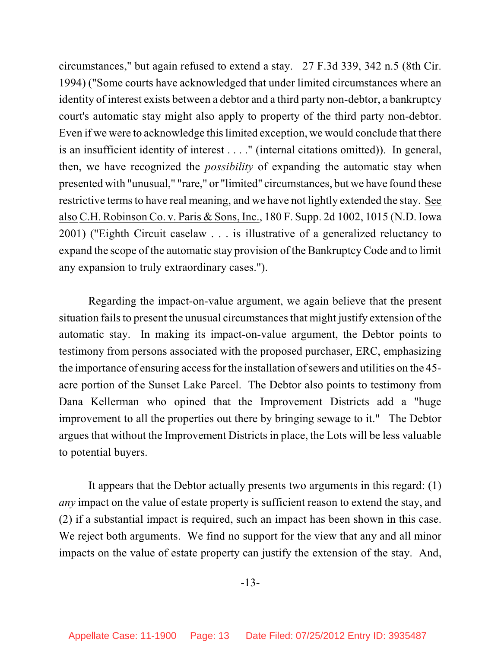circumstances," but again refused to extend a stay. 27 F.3d 339, 342 n.5 (8th Cir. 1994) ("Some courts have acknowledged that under limited circumstances where an identity of interest exists between a debtor and a third party non-debtor, a bankruptcy court's automatic stay might also apply to property of the third party non-debtor. Even if we were to acknowledge this limited exception, we would conclude that there is an insufficient identity of interest . . . ." (internal citations omitted)). In general, then, we have recognized the *possibility* of expanding the automatic stay when presented with "unusual," "rare," or "limited" circumstances, but we have found these restrictive terms to have real meaning, and we have not lightly extended the stay. See also C.H. Robinson Co. v. Paris & Sons, Inc., 180 F. Supp. 2d 1002, 1015 (N.D. Iowa 2001) ("Eighth Circuit caselaw . . . is illustrative of a generalized reluctancy to expand the scope of the automatic stay provision of the BankruptcyCode and to limit any expansion to truly extraordinary cases.").

Regarding the impact-on-value argument, we again believe that the present situation fails to present the unusual circumstances that might justify extension of the automatic stay. In making its impact-on-value argument, the Debtor points to testimony from persons associated with the proposed purchaser, ERC, emphasizing the importance of ensuring access for the installation of sewers and utilities on the 45acre portion of the Sunset Lake Parcel. The Debtor also points to testimony from Dana Kellerman who opined that the Improvement Districts add a "huge improvement to all the properties out there by bringing sewage to it." The Debtor argues that without the Improvement Districts in place, the Lots will be less valuable to potential buyers.

It appears that the Debtor actually presents two arguments in this regard: (1) *any* impact on the value of estate property is sufficient reason to extend the stay, and (2) if a substantial impact is required, such an impact has been shown in this case. We reject both arguments. We find no support for the view that any and all minor impacts on the value of estate property can justify the extension of the stay. And,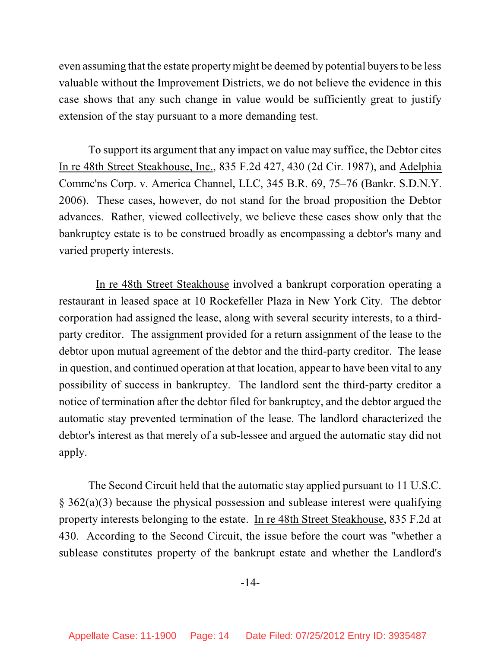even assuming that the estate property might be deemed by potential buyers to be less valuable without the Improvement Districts, we do not believe the evidence in this case shows that any such change in value would be sufficiently great to justify extension of the stay pursuant to a more demanding test.

To support its argument that any impact on value may suffice, the Debtor cites In re 48th Street Steakhouse, Inc., 835 F.2d 427, 430 (2d Cir. 1987), and Adelphia Commc'ns Corp. v. America Channel, LLC, 345 B.R. 69, 75–76 (Bankr. S.D.N.Y. 2006). These cases, however, do not stand for the broad proposition the Debtor advances. Rather, viewed collectively, we believe these cases show only that the bankruptcy estate is to be construed broadly as encompassing a debtor's many and varied property interests.

In re 48th Street Steakhouse involved a bankrupt corporation operating a restaurant in leased space at 10 Rockefeller Plaza in New York City. The debtor corporation had assigned the lease, along with several security interests, to a thirdparty creditor. The assignment provided for a return assignment of the lease to the debtor upon mutual agreement of the debtor and the third-party creditor. The lease in question, and continued operation at that location, appear to have been vital to any possibility of success in bankruptcy. The landlord sent the third-party creditor a notice of termination after the debtor filed for bankruptcy, and the debtor argued the automatic stay prevented termination of the lease. The landlord characterized the debtor's interest as that merely of a sub-lessee and argued the automatic stay did not apply.

The Second Circuit held that the automatic stay applied pursuant to 11 U.S.C. § 362(a)(3) because the physical possession and sublease interest were qualifying property interests belonging to the estate. In re 48th Street Steakhouse, 835 F.2d at 430. According to the Second Circuit, the issue before the court was "whether a sublease constitutes property of the bankrupt estate and whether the Landlord's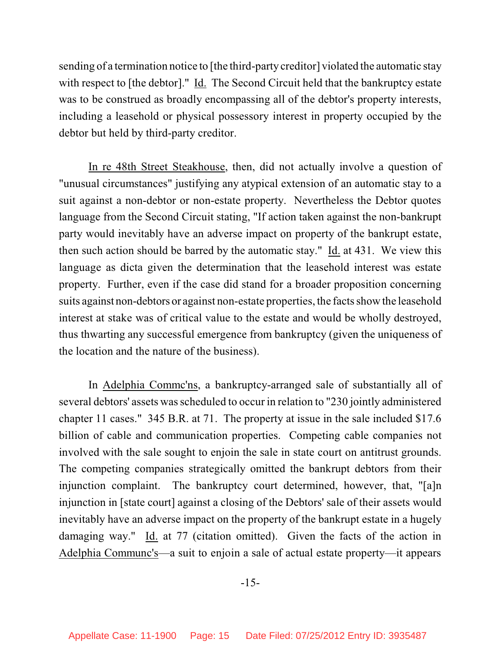sending of a termination notice to [the third-party creditor] violated the automatic stay with respect to [the debtor]." Id. The Second Circuit held that the bankruptcy estate was to be construed as broadly encompassing all of the debtor's property interests, including a leasehold or physical possessory interest in property occupied by the debtor but held by third-party creditor.

In re 48th Street Steakhouse, then, did not actually involve a question of "unusual circumstances" justifying any atypical extension of an automatic stay to a suit against a non-debtor or non-estate property. Nevertheless the Debtor quotes language from the Second Circuit stating, "If action taken against the non-bankrupt party would inevitably have an adverse impact on property of the bankrupt estate, then such action should be barred by the automatic stay." Id. at 431. We view this language as dicta given the determination that the leasehold interest was estate property. Further, even if the case did stand for a broader proposition concerning suits against non-debtors or against non-estate properties, the facts show the leasehold interest at stake was of critical value to the estate and would be wholly destroyed, thus thwarting any successful emergence from bankruptcy (given the uniqueness of the location and the nature of the business).

In Adelphia Commc'ns, a bankruptcy-arranged sale of substantially all of several debtors' assets was scheduled to occur in relation to "230 jointly administered chapter 11 cases." 345 B.R. at 71. The property at issue in the sale included \$17.6 billion of cable and communication properties. Competing cable companies not involved with the sale sought to enjoin the sale in state court on antitrust grounds. The competing companies strategically omitted the bankrupt debtors from their injunction complaint. The bankruptcy court determined, however, that, "[a]n injunction in [state court] against a closing of the Debtors' sale of their assets would inevitably have an adverse impact on the property of the bankrupt estate in a hugely damaging way." Id. at 77 (citation omitted). Given the facts of the action in Adelphia Communc's—a suit to enjoin a sale of actual estate property—it appears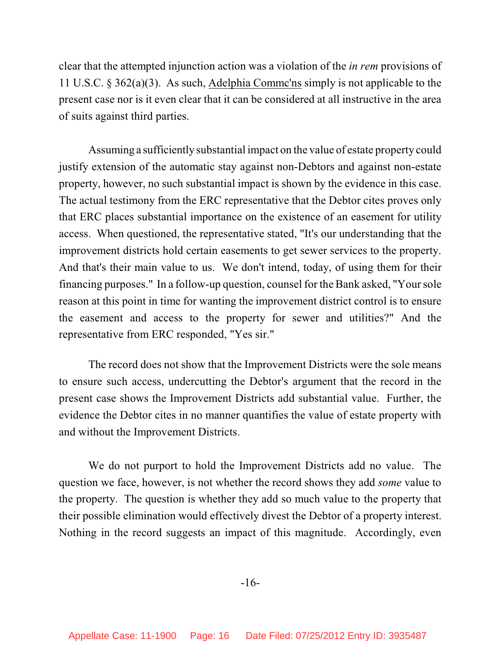clear that the attempted injunction action was a violation of the *in rem* provisions of 11 U.S.C. § 362(a)(3). As such, Adelphia Commc'ns simply is not applicable to the present case nor is it even clear that it can be considered at all instructive in the area of suits against third parties.

Assuming a sufficiently substantial impact on the value of estate property could justify extension of the automatic stay against non-Debtors and against non-estate property, however, no such substantial impact is shown by the evidence in this case. The actual testimony from the ERC representative that the Debtor cites proves only that ERC places substantial importance on the existence of an easement for utility access. When questioned, the representative stated, "It's our understanding that the improvement districts hold certain easements to get sewer services to the property. And that's their main value to us. We don't intend, today, of using them for their financing purposes." In a follow-up question, counsel for the Bank asked, "Yoursole reason at this point in time for wanting the improvement district control is to ensure the easement and access to the property for sewer and utilities?" And the representative from ERC responded, "Yes sir."

The record does not show that the Improvement Districts were the sole means to ensure such access, undercutting the Debtor's argument that the record in the present case shows the Improvement Districts add substantial value. Further, the evidence the Debtor cites in no manner quantifies the value of estate property with and without the Improvement Districts.

We do not purport to hold the Improvement Districts add no value. The question we face, however, is not whether the record shows they add *some* value to the property. The question is whether they add so much value to the property that their possible elimination would effectively divest the Debtor of a property interest. Nothing in the record suggests an impact of this magnitude. Accordingly, even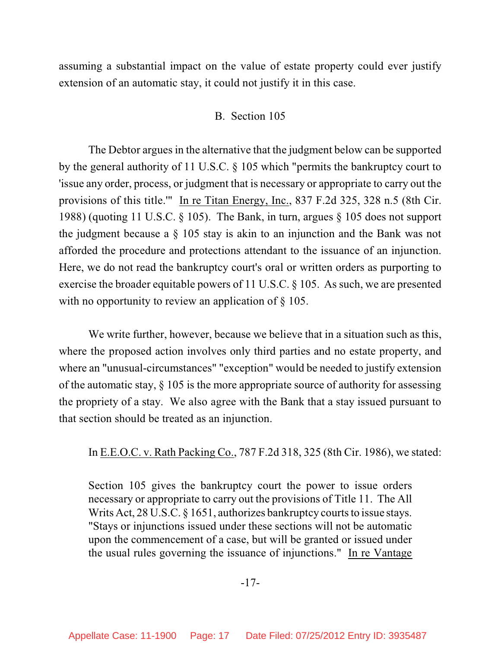assuming a substantial impact on the value of estate property could ever justify extension of an automatic stay, it could not justify it in this case.

## B. Section 105

The Debtor argues in the alternative that the judgment below can be supported by the general authority of 11 U.S.C. § 105 which "permits the bankruptcy court to 'issue any order, process, or judgment that is necessary or appropriate to carry out the provisions of this title.'" In re Titan Energy, Inc., 837 F.2d 325, 328 n.5 (8th Cir. 1988) (quoting 11 U.S.C. § 105). The Bank, in turn, argues § 105 does not support the judgment because a § 105 stay is akin to an injunction and the Bank was not afforded the procedure and protections attendant to the issuance of an injunction. Here, we do not read the bankruptcy court's oral or written orders as purporting to exercise the broader equitable powers of 11 U.S.C. § 105. As such, we are presented with no opportunity to review an application of  $\S 105$ .

We write further, however, because we believe that in a situation such as this, where the proposed action involves only third parties and no estate property, and where an "unusual-circumstances" "exception" would be needed to justify extension of the automatic stay,  $\S$  105 is the more appropriate source of authority for assessing the propriety of a stay. We also agree with the Bank that a stay issued pursuant to that section should be treated as an injunction.

In E.E.O.C. v. Rath Packing Co., 787 F.2d 318, 325 (8th Cir. 1986), we stated:

Section 105 gives the bankruptcy court the power to issue orders necessary or appropriate to carry out the provisions of Title 11. The All Writs Act,  $28 \text{ U.S. C. }$  § 1651, authorizes bankruptcy courts to issue stays. "Stays or injunctions issued under these sections will not be automatic upon the commencement of a case, but will be granted or issued under the usual rules governing the issuance of injunctions." In re Vantage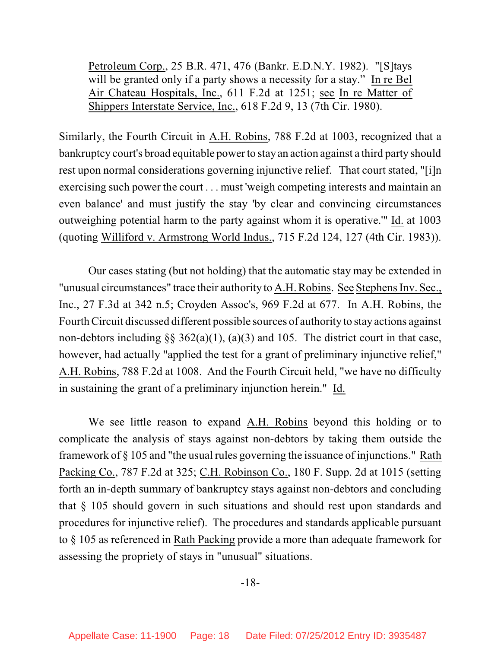Petroleum Corp., 25 B.R. 471, 476 (Bankr. E.D.N.Y. 1982). "[S]tays will be granted only if a party shows a necessity for a stay." In re Bel Air Chateau Hospitals, Inc., 611 F.2d at 1251; see In re Matter of Shippers Interstate Service, Inc., 618 F.2d 9, 13 (7th Cir. 1980).

Similarly, the Fourth Circuit in A.H. Robins, 788 F.2d at 1003, recognized that a bankruptcy court's broad equitable power to stay an action against a third party should rest upon normal considerations governing injunctive relief. That court stated, "[i]n exercising such power the court . . . must 'weigh competing interests and maintain an even balance' and must justify the stay 'by clear and convincing circumstances outweighing potential harm to the party against whom it is operative.'" Id. at 1003 (quoting Williford v. Armstrong World Indus., 715 F.2d 124, 127 (4th Cir. 1983)).

Our cases stating (but not holding) that the automatic stay may be extended in "unusual circumstances" trace their authority to A.H. Robins. See Stephens Inv. Sec., Inc., 27 F.3d at 342 n.5; Croyden Assoc's, 969 F.2d at 677. In A.H. Robins, the FourthCircuit discussed different possible sources of authority to stay actions against non-debtors including  $\S$ § 362(a)(1), (a)(3) and 105. The district court in that case, however, had actually "applied the test for a grant of preliminary injunctive relief," A.H. Robins, 788 F.2d at 1008. And the Fourth Circuit held, "we have no difficulty in sustaining the grant of a preliminary injunction herein." Id.

We see little reason to expand A.H. Robins beyond this holding or to complicate the analysis of stays against non-debtors by taking them outside the framework of § 105 and "the usual rules governing the issuance of injunctions." Rath Packing Co., 787 F.2d at 325; C.H. Robinson Co., 180 F. Supp. 2d at 1015 (setting forth an in-depth summary of bankruptcy stays against non-debtors and concluding that § 105 should govern in such situations and should rest upon standards and procedures for injunctive relief). The procedures and standards applicable pursuant to § 105 as referenced in Rath Packing provide a more than adequate framework for assessing the propriety of stays in "unusual" situations.

-18-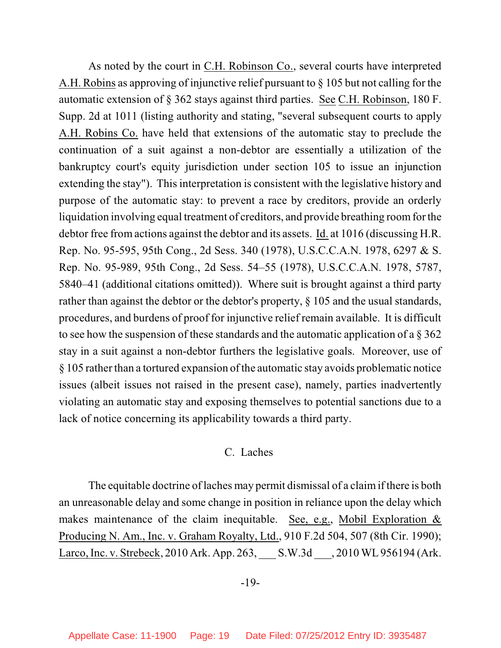As noted by the court in C.H. Robinson Co., several courts have interpreted A.H. Robins as approving of injunctive relief pursuant to § 105 but not calling for the automatic extension of § 362 stays against third parties. See C.H. Robinson, 180 F. Supp. 2d at 1011 (listing authority and stating, "several subsequent courts to apply A.H. Robins Co. have held that extensions of the automatic stay to preclude the continuation of a suit against a non-debtor are essentially a utilization of the bankruptcy court's equity jurisdiction under section 105 to issue an injunction extending the stay"). This interpretation is consistent with the legislative history and purpose of the automatic stay: to prevent a race by creditors, provide an orderly liquidation involving equal treatment of creditors, and provide breathing roomfor the debtor free from actions against the debtor and its assets. Id. at 1016 (discussing H.R. Rep. No. 95-595, 95th Cong., 2d Sess. 340 (1978), U.S.C.C.A.N. 1978, 6297 & S. Rep. No. 95-989, 95th Cong., 2d Sess. 54–55 (1978), U.S.C.C.A.N. 1978, 5787, 5840–41 (additional citations omitted)). Where suit is brought against a third party rather than against the debtor or the debtor's property, § 105 and the usual standards, procedures, and burdens of proof for injunctive relief remain available. It is difficult to see how the suspension of these standards and the automatic application of a § 362 stay in a suit against a non-debtor furthers the legislative goals. Moreover, use of  $§$  105 rather than a tortured expansion of the automatic stay avoids problematic notice issues (albeit issues not raised in the present case), namely, parties inadvertently violating an automatic stay and exposing themselves to potential sanctions due to a lack of notice concerning its applicability towards a third party.

## C. Laches

The equitable doctrine of laches may permit dismissal of a claimif there is both an unreasonable delay and some change in position in reliance upon the delay which makes maintenance of the claim inequitable. See, e.g., Mobil Exploration  $\&$ Producing N. Am., Inc. v. Graham Royalty, Ltd., 910 F.2d 504, 507 (8th Cir. 1990); Larco, Inc. v. Strebeck, 2010 Ark. App. 263, \_\_\_ S.W.3d \_\_\_, 2010 WL 956194 (Ark.

## -19-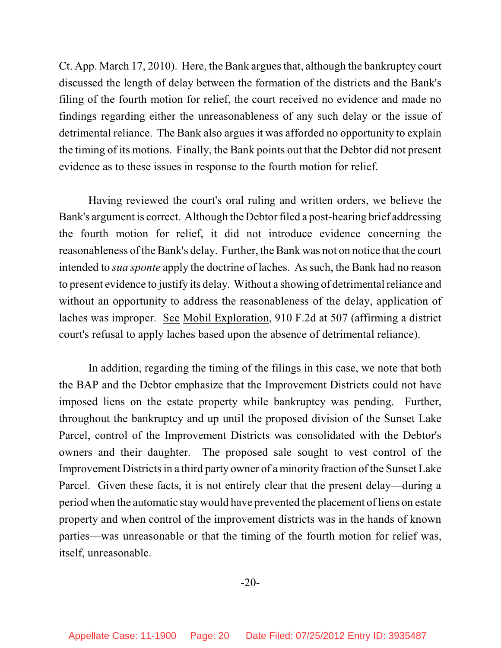Ct. App. March 17, 2010). Here, the Bank argues that, although the bankruptcy court discussed the length of delay between the formation of the districts and the Bank's filing of the fourth motion for relief, the court received no evidence and made no findings regarding either the unreasonableness of any such delay or the issue of detrimental reliance. The Bank also argues it was afforded no opportunity to explain the timing of its motions. Finally, the Bank points out that the Debtor did not present evidence as to these issues in response to the fourth motion for relief.

Having reviewed the court's oral ruling and written orders, we believe the Bank's argument is correct. Although the Debtor filed a post-hearing brief addressing the fourth motion for relief, it did not introduce evidence concerning the reasonableness of the Bank's delay. Further, the Bank was not on notice that the court intended to *sua sponte* apply the doctrine of laches. As such, the Bank had no reason to present evidence to justify its delay. Without a showing of detrimental reliance and without an opportunity to address the reasonableness of the delay, application of laches was improper. See Mobil Exploration, 910 F.2d at 507 (affirming a district court's refusal to apply laches based upon the absence of detrimental reliance).

In addition, regarding the timing of the filings in this case, we note that both the BAP and the Debtor emphasize that the Improvement Districts could not have imposed liens on the estate property while bankruptcy was pending. Further, throughout the bankruptcy and up until the proposed division of the Sunset Lake Parcel, control of the Improvement Districts was consolidated with the Debtor's owners and their daughter. The proposed sale sought to vest control of the Improvement Districts in a third party owner of a minority fraction of the Sunset Lake Parcel. Given these facts, it is not entirely clear that the present delay—during a period when the automatic stay would have prevented the placement of liens on estate property and when control of the improvement districts was in the hands of known parties—was unreasonable or that the timing of the fourth motion for relief was, itself, unreasonable.

-20-